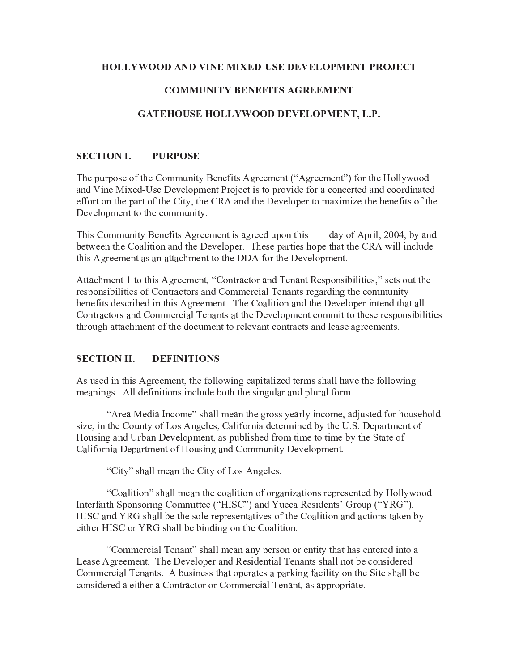### **HOLLYWOOD AND VINE MIXED-USE DEVELOPMENT PROJECT**

### **COMMUNITY BENEFITS AGREEMENT**

### GATEHOUSE HOLLYWOOD DEVELOPMENT, L.P.

#### **SECTION L PURPOSE**

The purpose of the Community Benefits Agreement ("Agreement") for the Hollywood and Vine Mixed-Use Development Project is to provide for a concerted and coordinated effort on the part of the City, the CRA and the Developer to maximize the benefits of the Development to the community.

This Community Benefits Agreement is agreed upon this day of April, 2004, by and between the Coalition and the Developer. These parties hope that the CRA will include this Agreement as an attachment to the DDA for the Development.

Attachment 1 to this Agreement, "Contractor and Tenant Responsibilities," sets out the responsibilities of Contractors and Commercial Tenants regarding the community benefits described in this Agreement. The Coalition and the Developer intend that all Contractors and Commercial Tenants at the Development commit to these responsibilities through attachment of the document to relevant contracts and lease agreements.

#### **SECTION II. DEFINITIONS**

As used in this Agreement, the following capitalized terms shall have the following meanings. All definitions include both the singular and plural form.

"Area Media Income" shall mean the gross yearly income, adjusted for household size, in the County of Los Angeles, California determined by the U.S. Department of Housing and Urban Development, as published from time to time by the State of California Department of Housing and Community Development.

"City" shall mean the City of Los Angeles.

"Coalition" shall mean the coalition of organizations represented by Hollywood Interfaith Sponsoring Committee ("HISC") and Yucca Residents' Group ("YRG"). HISC and YRG shall be the sole representatives of the Coalition and actions taken by either HISC or YRG shall be binding on the Coalition.

"Commercial Tenant" shall mean any person or entity that has entered into a Lease Agreement. The Developer and Residential Tenants shall not be considered Commercial Tenants. A business that operates a parking facility on the Site shall be considered a either a Contractor or Commercial Tenant, as appropriate.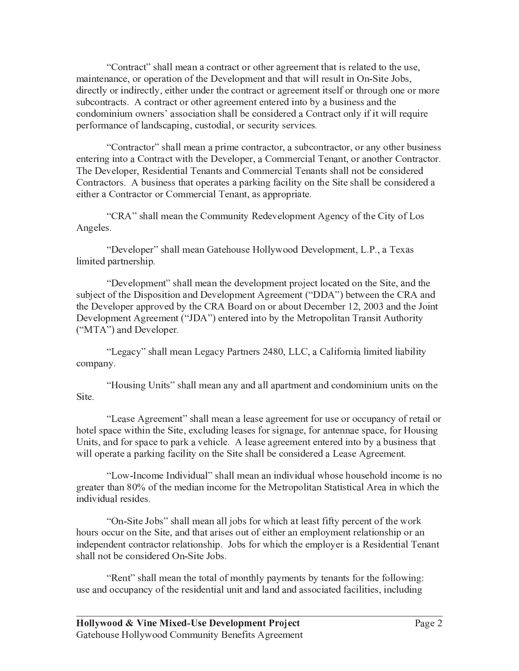"Contract" shall mean a contract or other agreement that is related to the use, maintenance, or operation of the Development and that will result in On-Site Jobs, directly or indirectly, either under the contract or agreement itself or through one or more subcontracts. A contract or other agreement entered into by a business and the condominium owners' association shall be considered a Contract only if it will require performance of landscaping, custodial, or security services.

"Contractor" shall mean a prime contractor, a subcontractor, or any other business entering into a Contract with the Developer, a Commercial Tenant, or another Contractor. The Developer, Residential Tenants and Commercial Tenants shall not be considered Contractors. A business that operates a parking facility on the Site shall be considered a either a Contractor or Commercial Tenant, as appropriate.

"CRA" shall mean the Community Redevelopment Agency of the City of Los Angeles.

"Developer" shall mean Gatehouse Hollywood Development, L.P., a Texas limited partnership.

"Development" shall mean the development project located on the Site, and the subject of the Disposition and Development Agreement ("DDA") between the CRA and the Developer approved by the CRA Board on or about December 12, 2003 and the Joint Development Agreement ("JDA") entered into by the Metropolitan Transit Authority ("MTA") and Developer.

"Legacy" shall mean Legacy Partners 2480, LLC, a California limited liability company.

"Housing Units" shall mean any and all apartment and condominium units on the Site.

"Lease Agreement" shall mean a lease agreement for use or occupancy of retail or hotel space within the Site, excluding leases for signage, for antennae space, for Housing Units, and for space to park a vehicle. A lease agreement entered into by a business that will operate a parking facility on the Site shall be considered a Lease Agreement.

"Low-Income Individual" shall mean an individual whose household income is no greater than 80% of the median income for the Metropolitan Statistical Area in which the individual resides.

"On-Site Jobs" shall mean all jobs for which at least fifty percent of the work hours occur on the Site, and that arises out of either an employment relationship or an independent contractor relationship. Jobs for which the employer is a Residential Tenant shall not be considered On-Site Jobs.

"Rent" shall mean the total of monthly payments by tenants for the following: use and occupancy of the residential unit and land and associated facilities, including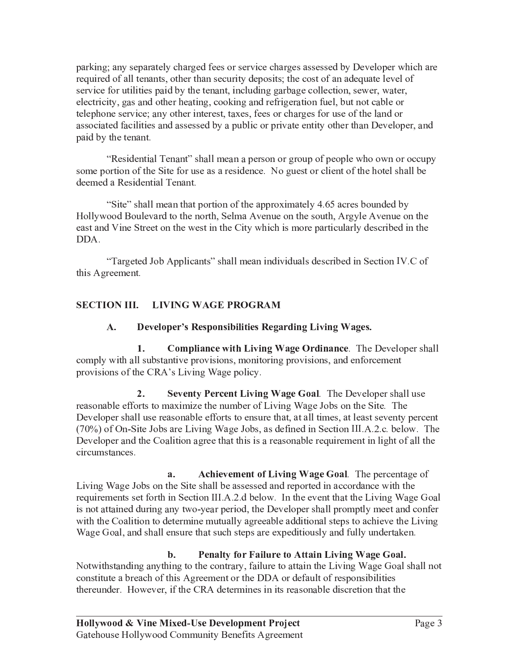parking; any separately charged fees or service charges assessed by Developer which are required of all tenants, other than security deposits; the cost of an adequate level of service for utilities paid by the tenant, including garbage collection, sewer, water, electricity, gas and other heating, cooking and refrigeration fuel, but not cable or telephone service; any other interest, taxes, fees or charges for use of the land or associated facilities and assessed by a public or private entity other than Developer, and paid by the tenant.

"Residential Tenant" shall mean a person or group of people who own or occupy some portion of the Site for use as a residence. No guest or client of the hotel shall be deemed a Residential Tenant.

"Site" shall mean that portion of the approximately 4.65 acres bounded by Hollywood Boulevard to the north, Selma Avenue on the south, Argyle Avenue on the east and Vine Street on the west in the City which is more particularly described in the DDA.

"Targeted Job Applicants" shall mean individuals described in Section IV.C of this Agreement.

# SECTION III. LIVING WAGE PROGRAM

#### A. Developer's Responsibilities Regarding Living Wages.

 $1.$ Compliance with Living Wage Ordinance. The Developer shall comply with all substantive provisions, monitoring provisions, and enforcement provisions of the CRA's Living Wage policy.

 $2.$ Seventy Percent Living Wage Goal. The Developer shall use reasonable efforts to maximize the number of Living Wage Jobs on the Site. The Developer shall use reasonable efforts to ensure that, at all times, at least seventy percent (70%) of On-Site Jobs are Living Wage Jobs, as defined in Section III.A.2.c. below. The Developer and the Coalition agree that this is a reasonable requirement in light of all the circumstances.

a. Achievement of Living Wage Goal. The percentage of Living Wage Jobs on the Site shall be assessed and reported in accordance with the requirements set forth in Section III.A.2.d below. In the event that the Living Wage Goal is not attained during any two-year period, the Developer shall promptly meet and confer with the Coalition to determine mutually agreeable additional steps to achieve the Living Wage Goal, and shall ensure that such steps are expeditiously and fully undertaken.

#### $\mathbf{b}$ . Penalty for Failure to Attain Living Wage Goal.

Notwithstanding anything to the contrary, failure to attain the Living Wage Goal shall not constitute a breach of this Agreement or the DDA or default of responsibilities thereunder. However, if the CRA determines in its reasonable discretion that the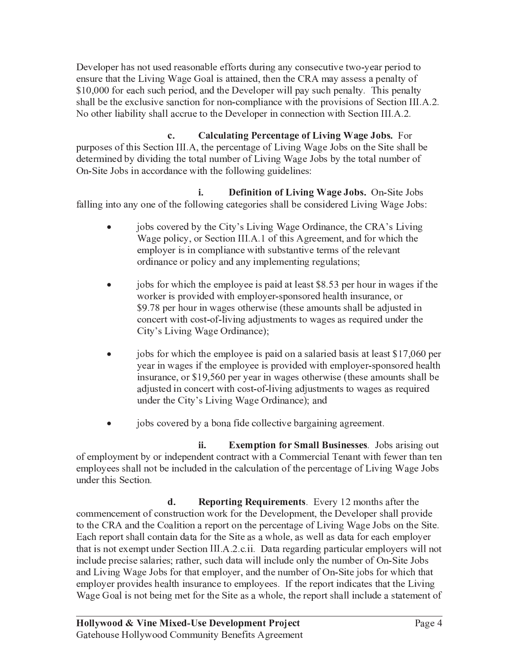Developer has not used reasonable efforts during any consecutive two-year period to ensure that the Living Wage Goal is attained, then the CRA may assess a penalty of \$10,000 for each such period, and the Developer will pay such penalty. This penalty shall be the exclusive sanction for non-compliance with the provisions of Section III.A.2. No other liability shall accrue to the Developer in connection with Section III.A.2.

**Calculating Percentage of Living Wage Jobs.** For  $c_{\cdot}$ purposes of this Section III.A, the percentage of Living Wage Jobs on the Site shall be determined by dividing the total number of Living Wage Jobs by the total number of On-Site Jobs in accordance with the following guidelines:

**Definition of Living Wage Jobs.** On-Site Jobs i. falling into any one of the following categories shall be considered Living Wage Jobs:

- jobs covered by the City's Living Wage Ordinance, the CRA's Living Wage policy, or Section III.A.1 of this Agreement, and for which the employer is in compliance with substantive terms of the relevant ordinance or policy and any implementing regulations;
- jobs for which the employee is paid at least \$8.53 per hour in wages if the worker is provided with employer-sponsored health insurance, or \$9.78 per hour in wages otherwise (these amounts shall be adjusted in concert with cost-of-living adjustments to wages as required under the City's Living Wage Ordinance);
- jobs for which the employee is paid on a salaried basis at least \$17,060 per year in wages if the employee is provided with employer-sponsored health insurance, or \$19,560 per year in wages otherwise (these amounts shall be adjusted in concert with cost-of-living adjustments to wages as required under the City's Living Wage Ordinance); and
- $\bullet$ jobs covered by a bona fide collective bargaining agreement.

**Exemption for Small Businesses.** Jobs arising out ii. of employment by or independent contract with a Commercial Tenant with fewer than ten employees shall not be included in the calculation of the percentage of Living Wage Jobs under this Section.

 $\mathbf{d}$ . **Reporting Requirements.** Every 12 months after the commencement of construction work for the Development, the Developer shall provide to the CRA and the Coalition a report on the percentage of Living Wage Jobs on the Site. Each report shall contain data for the Site as a whole, as well as data for each employer that is not exempt under Section III.A.2.c.ii. Data regarding particular employers will not include precise salaries; rather, such data will include only the number of On-Site Jobs and Living Wage Jobs for that employer, and the number of On-Site jobs for which that employer provides health insurance to employees. If the report indicates that the Living Wage Goal is not being met for the Site as a whole, the report shall include a statement of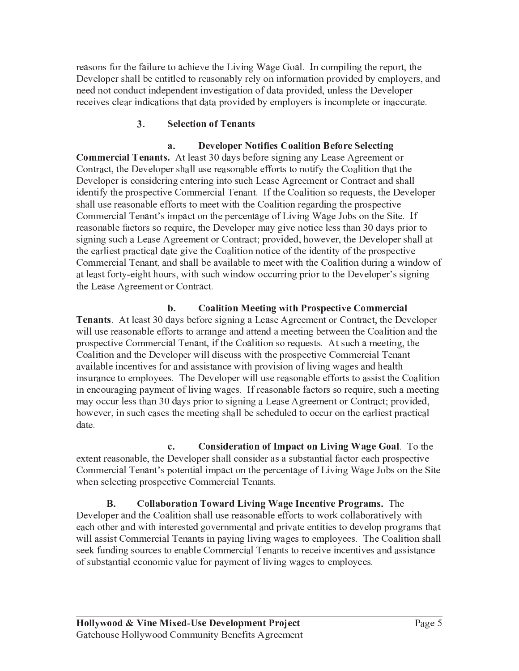reasons for the failure to achieve the Living Wage Goal. In compiling the report, the Developer shall be entitled to reasonably rely on information provided by employers, and need not conduct independent investigation of data provided, unless the Developer receives clear indications that data provided by employers is incomplete or inaccurate.

#### $3.$ **Selection of Tenants**

#### $\overline{a}$ . **Developer Notifies Coalition Before Selecting**

**Commercial Tenants.** At least 30 days before signing any Lease Agreement or Contract, the Developer shall use reasonable efforts to notify the Coalition that the Developer is considering entering into such Lease Agreement or Contract and shall identify the prospective Commercial Tenant. If the Coalition so requests, the Developer shall use reasonable efforts to meet with the Coalition regarding the prospective Commercial Tenant's impact on the percentage of Living Wage Jobs on the Site. If reasonable factors so require, the Developer may give notice less than 30 days prior to signing such a Lease Agreement or Contract; provided, however, the Developer shall at the earliest practical date give the Coalition notice of the identity of the prospective Commercial Tenant, and shall be available to meet with the Coalition during a window of at least forty-eight hours, with such window occurring prior to the Developer's signing the Lease Agreement or Contract.

b. **Coalition Meeting with Prospective Commercial Tenants.** At least 30 days before signing a Lease Agreement or Contract, the Developer will use reasonable efforts to arrange and attend a meeting between the Coalition and the prospective Commercial Tenant, if the Coalition so requests. At such a meeting, the Coalition and the Developer will discuss with the prospective Commercial Tenant available incentives for and assistance with provision of living wages and health insurance to employees. The Developer will use reasonable efforts to assist the Coalition in encouraging payment of living wages. If reasonable factors so require, such a meeting may occur less than 30 days prior to signing a Lease Agreement or Contract; provided, however, in such cases the meeting shall be scheduled to occur on the earliest practical date.

 $\mathbf{c}$ . **Consideration of Impact on Living Wage Goal.** To the extent reasonable, the Developer shall consider as a substantial factor each prospective Commercial Tenant's potential impact on the percentage of Living Wage Jobs on the Site when selecting prospective Commercial Tenants.

**B. Collaboration Toward Living Wage Incentive Programs.** The Developer and the Coalition shall use reasonable efforts to work collaboratively with each other and with interested governmental and private entities to develop programs that will assist Commercial Tenants in paying living wages to employees. The Coalition shall seek funding sources to enable Commercial Tenants to receive incentives and assistance of substantial economic value for payment of living wages to employees.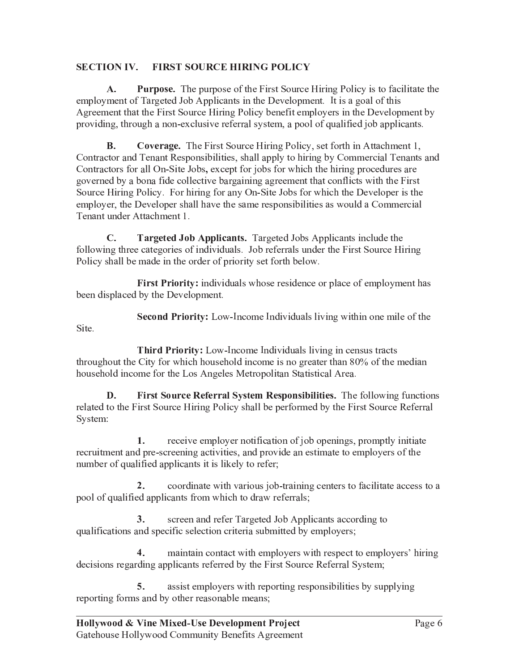#### **SECTION IV. FIRST SOURCE HIRING POLICY**

 ${\bf A}$ . **Purpose.** The purpose of the First Source Hiring Policy is to facilitate the employment of Targeted Job Applicants in the Development. It is a goal of this Agreement that the First Source Hiring Policy benefit employers in the Development by providing, through a non-exclusive referral system, a pool of qualified job applicants.

**B. Coverage.** The First Source Hiring Policy, set forth in Attachment 1, Contractor and Tenant Responsibilities, shall apply to hiring by Commercial Tenants and Contractors for all On-Site Jobs, except for jobs for which the hiring procedures are governed by a bona fide collective bargaining agreement that conflicts with the First Source Hiring Policy. For hiring for any On-Site Jobs for which the Developer is the employer, the Developer shall have the same responsibilities as would a Commercial Tenant under Attachment 1.

 $\mathbf{C}$ . Targeted Job Applicants. Targeted Jobs Applicants include the following three categories of individuals. Job referrals under the First Source Hiring Policy shall be made in the order of priority set forth below.

First Priority: individuals whose residence or place of employment has been displaced by the Development.

Second Priority: Low-Income Individuals living within one mile of the Site.

**Third Priority:** Low-Income Individuals living in census tracts throughout the City for which household income is no greater than 80% of the median household income for the Los Angeles Metropolitan Statistical Area.

D. First Source Referral System Responsibilities. The following functions related to the First Source Hiring Policy shall be performed by the First Source Referral System:

receive employer notification of job openings, promptly initiate  $1.$ recruitment and pre-screening activities, and provide an estimate to employers of the number of qualified applicants it is likely to refer;

 $2.$ coordinate with various job-training centers to facilitate access to a pool of qualified applicants from which to draw referrals;

 $3<sub>1</sub>$ screen and refer Targeted Job Applicants according to qualifications and specific selection criteria submitted by employers;

 $\overline{4}$ . maintain contact with employers with respect to employers' hiring decisions regarding applicants referred by the First Source Referral System;

assist employers with reporting responsibilities by supplying 5. reporting forms and by other reasonable means;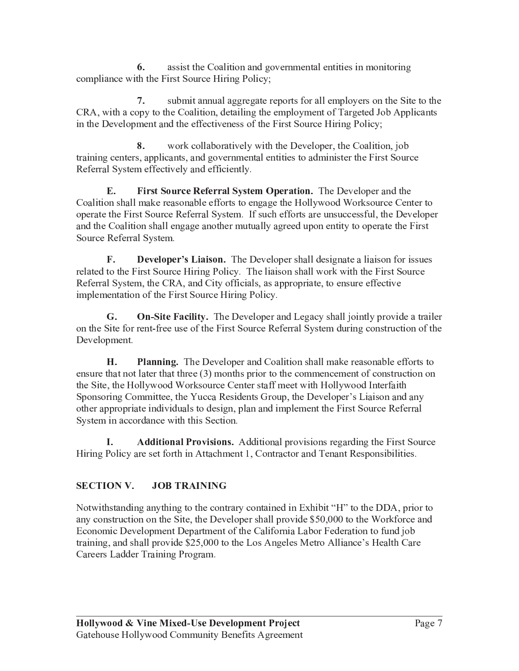assist the Coalition and governmental entities in monitoring 6. compliance with the First Source Hiring Policy;

submit annual aggregate reports for all employers on the Site to the  $7.$ CRA, with a copy to the Coalition, detailing the employment of Targeted Job Applicants in the Development and the effectiveness of the First Source Hiring Policy;

8. work collaboratively with the Developer, the Coalition, job training centers, applicants, and governmental entities to administer the First Source Referral System effectively and efficiently.

E. First Source Referral System Operation. The Developer and the Coalition shall make reasonable efforts to engage the Hollywood Worksource Center to operate the First Source Referral System. If such efforts are unsuccessful, the Developer and the Coalition shall engage another mutually agreed upon entity to operate the First Source Referral System.

 $\mathbf{F}$ . **Developer's Liaison.** The Developer shall designate a liaison for issues related to the First Source Hiring Policy. The liaison shall work with the First Source Referral System, the CRA, and City officials, as appropriate, to ensure effective implementation of the First Source Hiring Policy.

**On-Site Facility.** The Developer and Legacy shall jointly provide a trailer G. on the Site for rent-free use of the First Source Referral System during construction of the Development.

H. **Planning.** The Developer and Coalition shall make reasonable efforts to ensure that not later that three  $(3)$  months prior to the commencement of construction on the Site, the Hollywood Worksource Center staff meet with Hollywood Interfaith Sponsoring Committee, the Yucca Residents Group, the Developer's Liaison and any other appropriate individuals to design, plan and implement the First Source Referral System in accordance with this Section.

Additional Provisions. Additional provisions regarding the First Source I. Hiring Policy are set forth in Attachment 1, Contractor and Tenant Responsibilities.

### **SECTION V. JOB TRAINING**

Notwithstanding anything to the contrary contained in Exhibit "H" to the DDA, prior to any construction on the Site, the Developer shall provide \$50,000 to the Workforce and Economic Development Department of the California Labor Federation to fund job training, and shall provide \$25,000 to the Los Angeles Metro Alliance's Health Care Careers Ladder Training Program.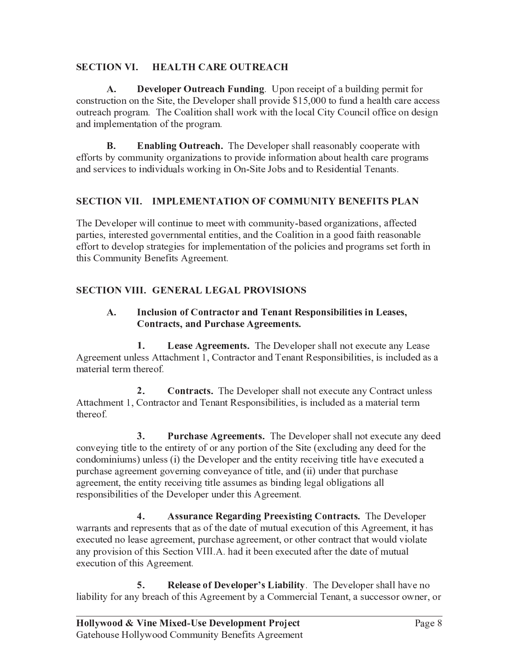#### **SECTION VI. HEALTH CARE OUTREACH**

 $\mathbf{A}$ . **Developer Outreach Funding.** Upon receipt of a building permit for construction on the Site, the Developer shall provide \$15,000 to fund a health care access outreach program. The Coalition shall work with the local City Council office on design and implementation of the program.

**B. Enabling Outreach.** The Developer shall reasonably cooperate with efforts by community organizations to provide information about health care programs and services to individuals working in On-Site Jobs and to Residential Tenants.

## SECTION VII. IMPLEMENTATION OF COMMUNITY BENEFITS PLAN

The Developer will continue to meet with community-based organizations, affected parties, interested governmental entities, and the Coalition in a good faith reasonable effort to develop strategies for implementation of the policies and programs set forth in this Community Benefits Agreement.

# **SECTION VIII. GENERAL LEGAL PROVISIONS**

### A. Inclusion of Contractor and Tenant Responsibilities in Leases, **Contracts, and Purchase Agreements.**

 $1.$ **Lease Agreements.** The Developer shall not execute any Lease Agreement unless Attachment 1, Contractor and Tenant Responsibilities, is included as a material term thereof.

 $2.$ **Contracts.** The Developer shall not execute any Contract unless Attachment 1, Contractor and Tenant Responsibilities, is included as a material term thereof.

 $3.$ **Purchase Agreements.** The Developer shall not execute any deed conveying title to the entirety of or any portion of the Site (excluding any deed for the condominiums) unless (i) the Developer and the entity receiving title have executed a purchase agreement governing conveyance of title, and (ii) under that purchase agreement, the entity receiving title assumes as binding legal obligations all responsibilities of the Developer under this Agreement.

 $\overline{4}$ . **Assurance Regarding Preexisting Contracts.** The Developer warrants and represents that as of the date of mutual execution of this Agreement, it has executed no lease agreement, purchase agreement, or other contract that would violate any provision of this Section VIII.A. had it been executed after the date of mutual execution of this Agreement.

**Release of Developer's Liability.** The Developer shall have no 5. liability for any breach of this Agreement by a Commercial Tenant, a successor owner, or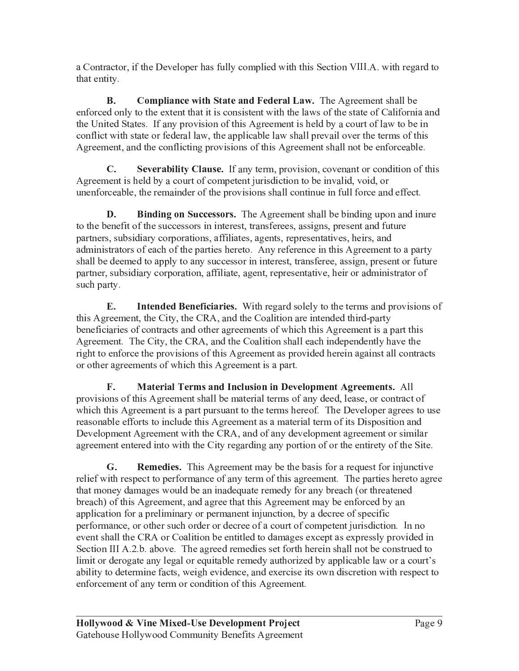a Contractor, if the Developer has fully complied with this Section VIII.A. with regard to that entity.

**B. Compliance with State and Federal Law.** The Agreement shall be enforced only to the extent that it is consistent with the laws of the state of California and the United States. If any provision of this Agreement is held by a court of law to be in conflict with state or federal law, the applicable law shall prevail over the terms of this Agreement, and the conflicting provisions of this Agreement shall not be enforceable.

 $C_{\cdot}$ Severability Clause. If any term, provision, covenant or condition of this Agreement is held by a court of competent jurisdiction to be invalid, void, or unenforceable, the remainder of the provisions shall continue in full force and effect.

D. **Binding on Successors.** The Agreement shall be binding upon and inure to the benefit of the successors in interest, transferees, assigns, present and future partners, subsidiary corporations, affiliates, agents, representatives, heirs, and administrators of each of the parties hereto. Any reference in this Agreement to a party shall be deemed to apply to any successor in interest, transferee, assign, present or future partner, subsidiary corporation, affiliate, agent, representative, heir or administrator of such party.

E. Intended Beneficiaries. With regard solely to the terms and provisions of this Agreement, the City, the CRA, and the Coalition are intended third-party beneficiaries of contracts and other agreements of which this Agreement is a part this Agreement. The City, the CRA, and the Coalition shall each independently have the right to enforce the provisions of this Agreement as provided herein against all contracts or other agreements of which this Agreement is a part.

 $\mathbf{F}$ . Material Terms and Inclusion in Development Agreements. All provisions of this Agreement shall be material terms of any deed, lease, or contract of which this Agreement is a part pursuant to the terms hereof. The Developer agrees to use reasonable efforts to include this Agreement as a material term of its Disposition and Development Agreement with the CRA, and of any development agreement or similar agreement entered into with the City regarding any portion of or the entirety of the Site.

G. **Remedies.** This Agreement may be the basis for a request for injunctive relief with respect to performance of any term of this agreement. The parties hereto agree that money damages would be an inadequate remedy for any breach (or threatened breach) of this Agreement, and agree that this Agreement may be enforced by an application for a preliminary or permanent injunction, by a decree of specific performance, or other such order or decree of a court of competent jurisdiction. In no event shall the CRA or Coalition be entitled to damages except as expressly provided in Section III A.2.b. above. The agreed remedies set forth herein shall not be construed to limit or derogate any legal or equitable remedy authorized by applicable law or a court's ability to determine facts, weigh evidence, and exercise its own discretion with respect to enforcement of any term or condition of this Agreement.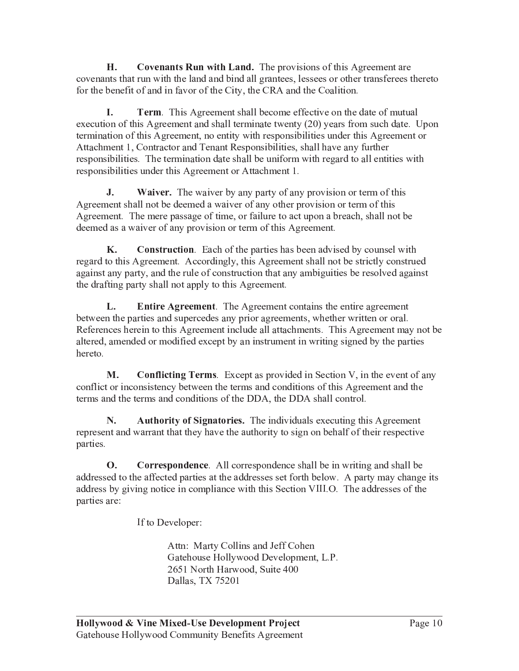H. **Covenants Run with Land.** The provisions of this Agreement are covenants that run with the land and bind all grantees, lessees or other transferees thereto for the benefit of and in favor of the City, the CRA and the Coalition.

I. **Term.** This Agreement shall become effective on the date of mutual execution of this Agreement and shall terminate twenty (20) years from such date. Upon termination of this Agreement, no entity with responsibilities under this Agreement or Attachment 1, Contractor and Tenant Responsibilities, shall have any further responsibilities. The termination date shall be uniform with regard to all entities with responsibilities under this Agreement or Attachment 1.

J. **Waiver.** The waiver by any party of any provision or term of this Agreement shall not be deemed a waiver of any other provision or term of this Agreement. The mere passage of time, or failure to act upon a breach, shall not be deemed as a waiver of any provision or term of this Agreement.

**K. Construction.** Each of the parties has been advised by counsel with regard to this Agreement. Accordingly, this Agreement shall not be strictly construed against any party, and the rule of construction that any ambiguities be resolved against the drafting party shall not apply to this Agreement.

Entire Agreement. The Agreement contains the entire agreement L. between the parties and supercedes any prior agreements, whether written or oral. References herein to this Agreement include all attachments. This Agreement may not be altered, amended or modified except by an instrument in writing signed by the parties hereto.

M. **Conflicting Terms.** Except as provided in Section V, in the event of any conflict or inconsistency between the terms and conditions of this Agreement and the terms and the terms and conditions of the DDA, the DDA shall control.

N. **Authority of Signatories.** The individuals executing this Agreement represent and warrant that they have the authority to sign on behalf of their respective parties.

 $\Omega$ . Correspondence. All correspondence shall be in writing and shall be addressed to the affected parties at the addresses set forth below. A party may change its address by giving notice in compliance with this Section VIII.O. The addresses of the parties are:

If to Developer:

Attn: Marty Collins and Jeff Cohen Gatehouse Hollywood Development, L.P. 2651 North Harwood, Suite 400 Dallas, TX 75201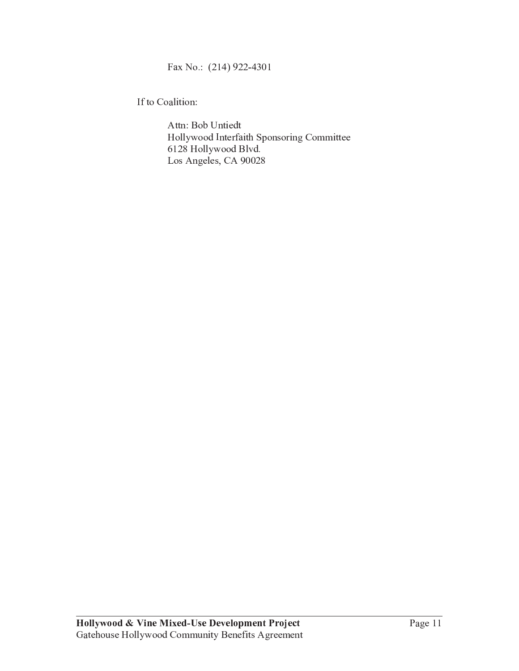Fax No.: (214) 922-4301

If to Coalition:

Attn: Bob Untiedt Hollywood Interfaith Sponsoring Committee 6128 Hollywood Blvd. Los Angeles, CA 90028